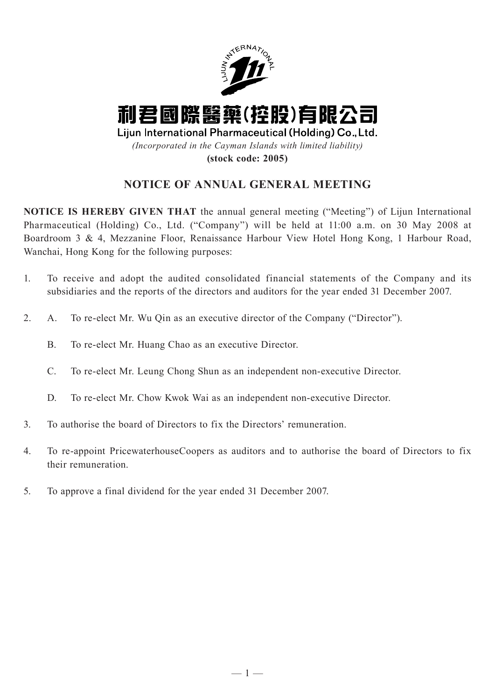

# **NOTICE OF ANNUAL GENERAL MEETING**

**NOTICE IS HEREBY GIVEN THAT** the annual general meeting ("Meeting") of Lijun International Pharmaceutical (Holding) Co., Ltd. ("Company") will be held at 11:00 a.m. on 30 May 2008 at Boardroom 3 & 4, Mezzanine Floor, Renaissance Harbour View Hotel Hong Kong, 1 Harbour Road, Wanchai, Hong Kong for the following purposes:

- 1. To receive and adopt the audited consolidated financial statements of the Company and its subsidiaries and the reports of the directors and auditors for the year ended 31 December 2007.
- 2. A. To re-elect Mr. Wu Qin as an executive director of the Company ("Director").
	- B. To re-elect Mr. Huang Chao as an executive Director.
	- C. To re-elect Mr. Leung Chong Shun as an independent non-executive Director.
	- D. To re-elect Mr. Chow Kwok Wai as an independent non-executive Director.
- 3. To authorise the board of Directors to fix the Directors' remuneration.
- 4. To re-appoint PricewaterhouseCoopers as auditors and to authorise the board of Directors to fix their remuneration.
- 5. To approve a final dividend for the year ended 31 December 2007.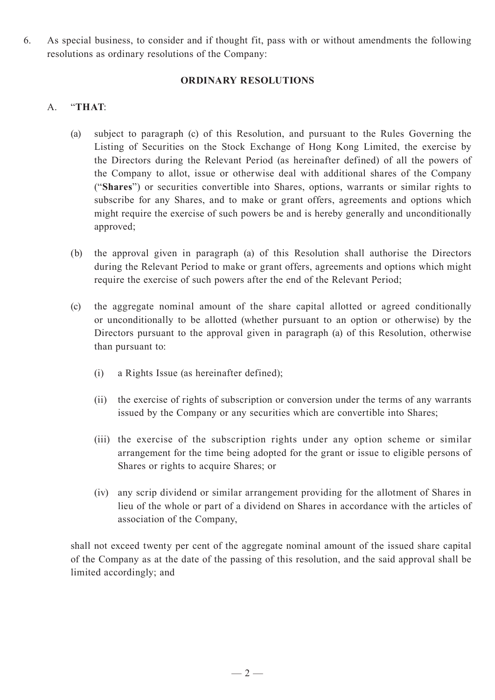6. As special business, to consider and if thought fit, pass with or without amendments the following resolutions as ordinary resolutions of the Company:

### **ORDINARY RESOLUTIONS**

### A. "**THAT**:

- (a) subject to paragraph (c) of this Resolution, and pursuant to the Rules Governing the Listing of Securities on the Stock Exchange of Hong Kong Limited, the exercise by the Directors during the Relevant Period (as hereinafter defined) of all the powers of the Company to allot, issue or otherwise deal with additional shares of the Company ("**Shares**") or securities convertible into Shares, options, warrants or similar rights to subscribe for any Shares, and to make or grant offers, agreements and options which might require the exercise of such powers be and is hereby generally and unconditionally approved;
- (b) the approval given in paragraph (a) of this Resolution shall authorise the Directors during the Relevant Period to make or grant offers, agreements and options which might require the exercise of such powers after the end of the Relevant Period;
- (c) the aggregate nominal amount of the share capital allotted or agreed conditionally or unconditionally to be allotted (whether pursuant to an option or otherwise) by the Directors pursuant to the approval given in paragraph (a) of this Resolution, otherwise than pursuant to:
	- (i) a Rights Issue (as hereinafter defined);
	- (ii) the exercise of rights of subscription or conversion under the terms of any warrants issued by the Company or any securities which are convertible into Shares;
	- (iii) the exercise of the subscription rights under any option scheme or similar arrangement for the time being adopted for the grant or issue to eligible persons of Shares or rights to acquire Shares; or
	- (iv) any scrip dividend or similar arrangement providing for the allotment of Shares in lieu of the whole or part of a dividend on Shares in accordance with the articles of association of the Company,

shall not exceed twenty per cent of the aggregate nominal amount of the issued share capital of the Company as at the date of the passing of this resolution, and the said approval shall be limited accordingly; and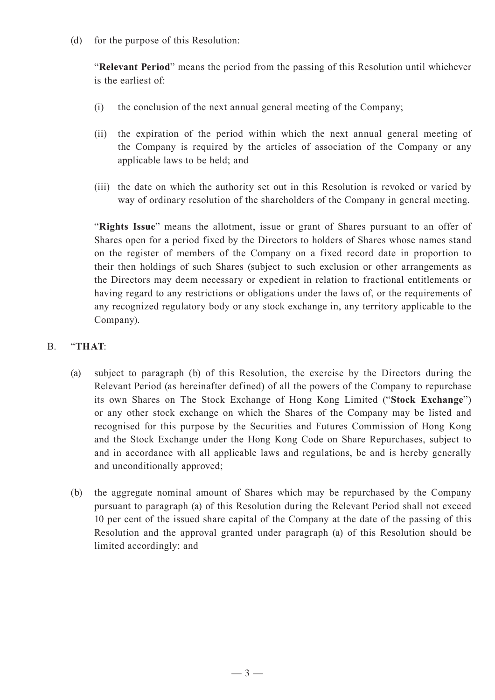(d) for the purpose of this Resolution:

"**Relevant Period**" means the period from the passing of this Resolution until whichever is the earliest of:

- (i) the conclusion of the next annual general meeting of the Company;
- (ii) the expiration of the period within which the next annual general meeting of the Company is required by the articles of association of the Company or any applicable laws to be held; and
- (iii) the date on which the authority set out in this Resolution is revoked or varied by way of ordinary resolution of the shareholders of the Company in general meeting.

"**Rights Issue**" means the allotment, issue or grant of Shares pursuant to an offer of Shares open for a period fixed by the Directors to holders of Shares whose names stand on the register of members of the Company on a fixed record date in proportion to their then holdings of such Shares (subject to such exclusion or other arrangements as the Directors may deem necessary or expedient in relation to fractional entitlements or having regard to any restrictions or obligations under the laws of, or the requirements of any recognized regulatory body or any stock exchange in, any territory applicable to the Company).

## B. "**THAT**:

- (a) subject to paragraph (b) of this Resolution, the exercise by the Directors during the Relevant Period (as hereinafter defined) of all the powers of the Company to repurchase its own Shares on The Stock Exchange of Hong Kong Limited ("**Stock Exchange**") or any other stock exchange on which the Shares of the Company may be listed and recognised for this purpose by the Securities and Futures Commission of Hong Kong and the Stock Exchange under the Hong Kong Code on Share Repurchases, subject to and in accordance with all applicable laws and regulations, be and is hereby generally and unconditionally approved;
- (b) the aggregate nominal amount of Shares which may be repurchased by the Company pursuant to paragraph (a) of this Resolution during the Relevant Period shall not exceed 10 per cent of the issued share capital of the Company at the date of the passing of this Resolution and the approval granted under paragraph (a) of this Resolution should be limited accordingly; and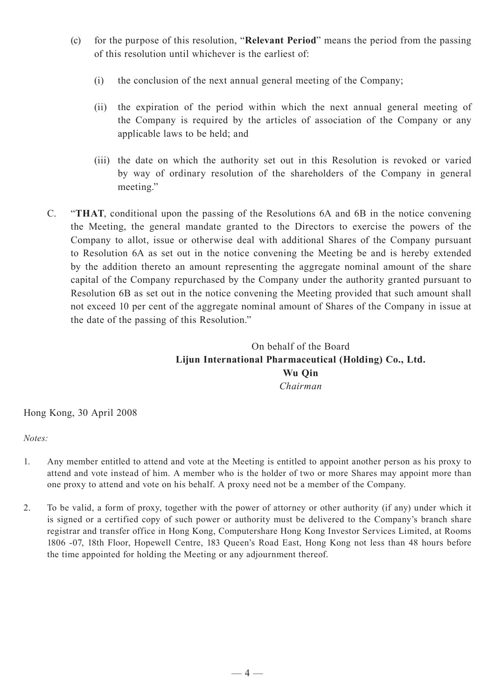- (c) for the purpose of this resolution, "**Relevant Period**" means the period from the passing of this resolution until whichever is the earliest of:
	- (i) the conclusion of the next annual general meeting of the Company;
	- (ii) the expiration of the period within which the next annual general meeting of the Company is required by the articles of association of the Company or any applicable laws to be held; and
	- (iii) the date on which the authority set out in this Resolution is revoked or varied by way of ordinary resolution of the shareholders of the Company in general meeting."
- C. "**THAT**, conditional upon the passing of the Resolutions 6A and 6B in the notice convening the Meeting, the general mandate granted to the Directors to exercise the powers of the Company to allot, issue or otherwise deal with additional Shares of the Company pursuant to Resolution 6A as set out in the notice convening the Meeting be and is hereby extended by the addition thereto an amount representing the aggregate nominal amount of the share capital of the Company repurchased by the Company under the authority granted pursuant to Resolution 6B as set out in the notice convening the Meeting provided that such amount shall not exceed 10 per cent of the aggregate nominal amount of Shares of the Company in issue at the date of the passing of this Resolution."

On behalf of the Board **Lijun International Pharmaceutical (Holding) Co., Ltd. Wu Qin** *Chairman*

#### Hong Kong, 30 April 2008

#### *Notes:*

- 1. Any member entitled to attend and vote at the Meeting is entitled to appoint another person as his proxy to attend and vote instead of him. A member who is the holder of two or more Shares may appoint more than one proxy to attend and vote on his behalf. A proxy need not be a member of the Company.
- 2. To be valid, a form of proxy, together with the power of attorney or other authority (if any) under which it is signed or a certified copy of such power or authority must be delivered to the Company's branch share registrar and transfer office in Hong Kong, Computershare Hong Kong Investor Services Limited, at Rooms 1806 -07, 18th Floor, Hopewell Centre, 183 Queen's Road East, Hong Kong not less than 48 hours before the time appointed for holding the Meeting or any adjournment thereof.